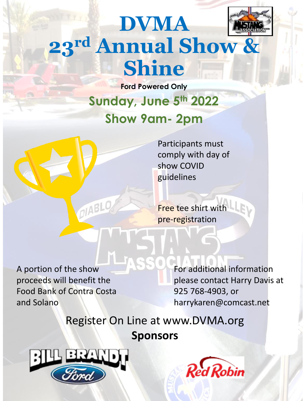

## **DVMA 23rd Annual Show & Shine**

**Ford Powered Only Sunday, June 5th 2022 Show 9am- 2pm**



Participants must comply with day of show COVID guidelines

Free tee shirt with pre-registration

A portion of the show proceeds will benefit the Food Bank of Contra Costa and Solano

For additional information please contact Harry Davis at 925 768-4903, or harrykaren@comcast.net

Register On Line at www.DVMA.org **Sponsors**